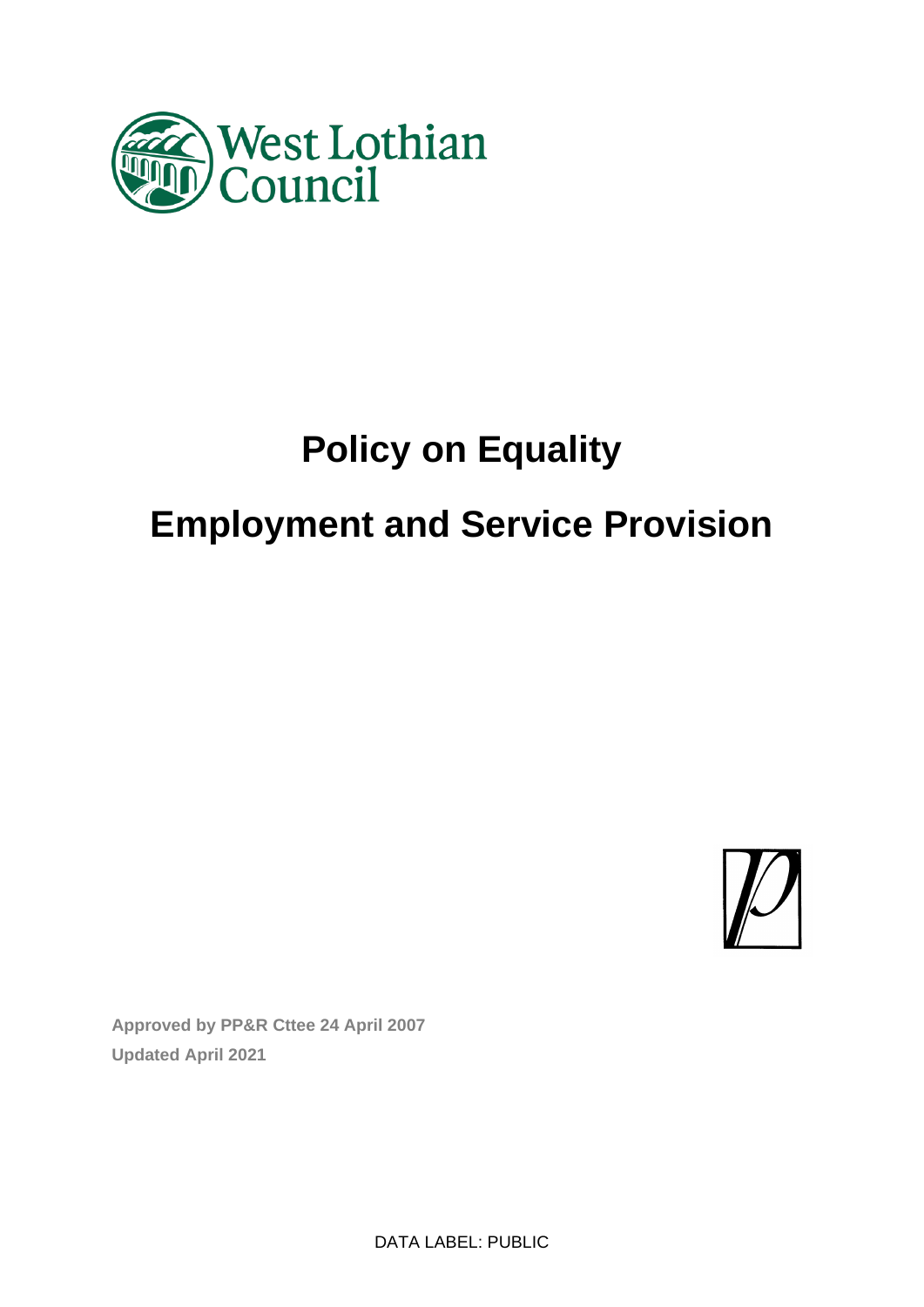

# **Policy on Equality**

# **Employment and Service Provision**



**Approved by PP&R Cttee 24 April 2007 Updated April 2021**

DATA LABEL: PUBLIC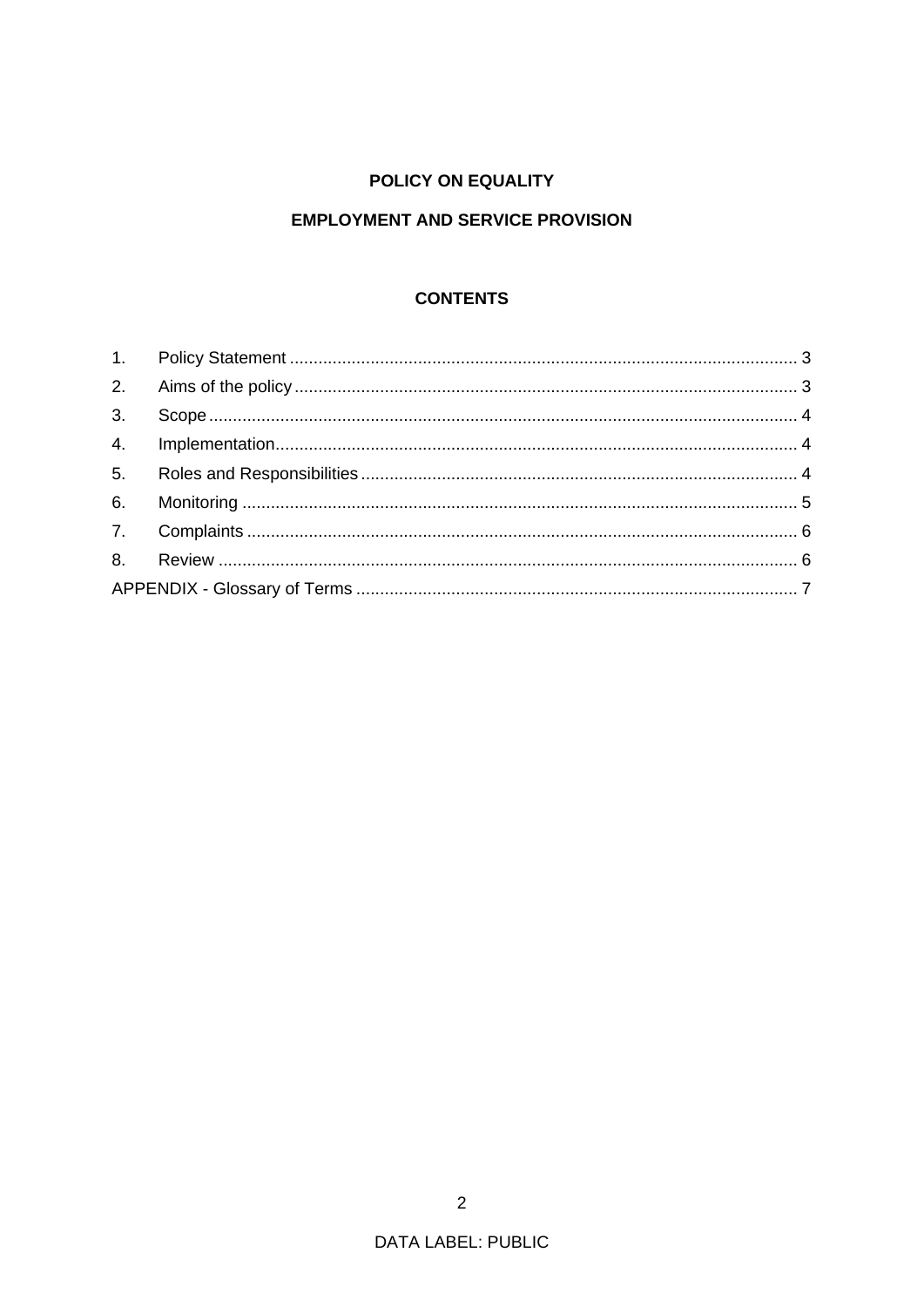# POLICY ON EQUALITY

# **EMPLOYMENT AND SERVICE PROVISION**

# **CONTENTS**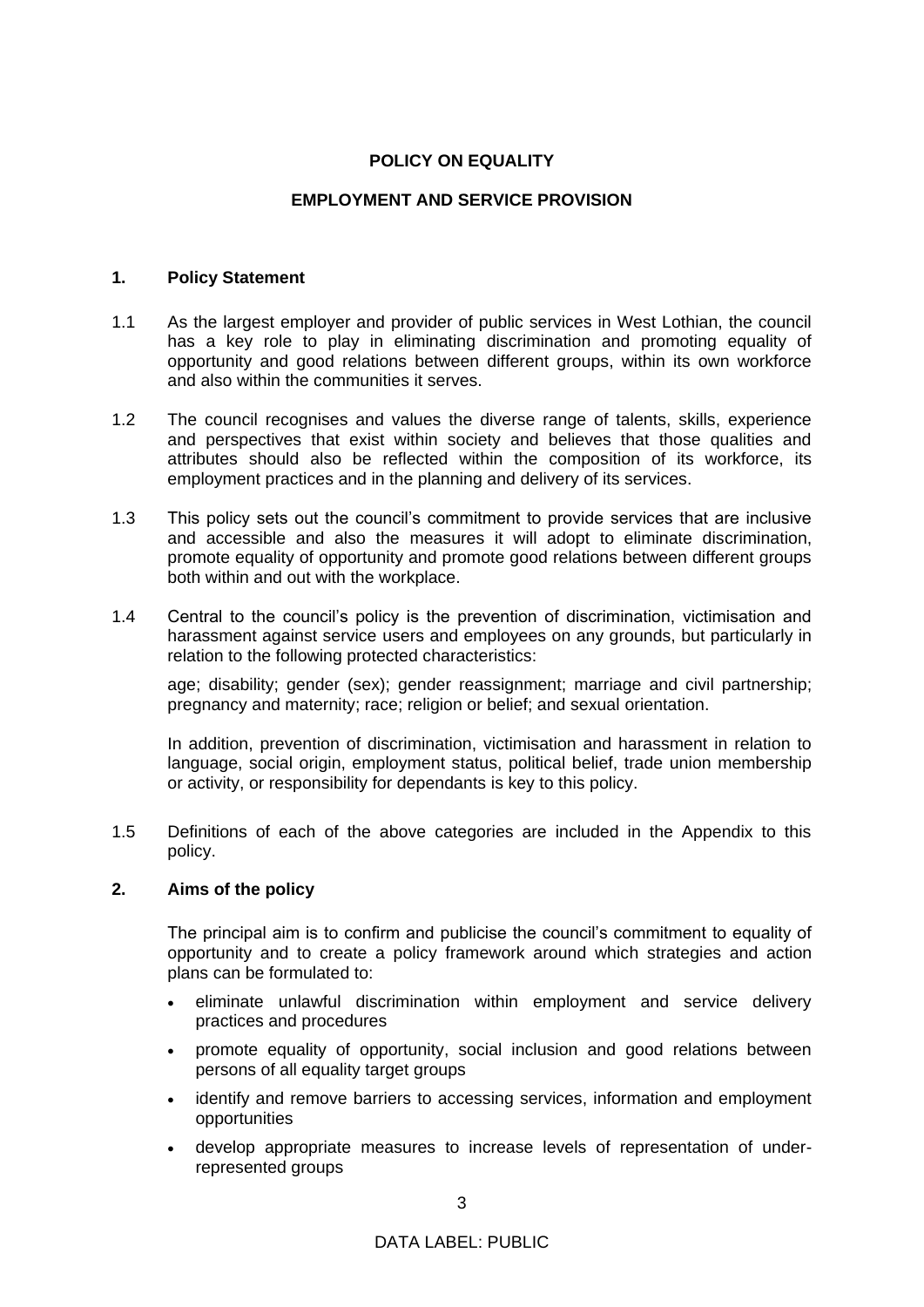# **POLICY ON EQUALITY**

# **EMPLOYMENT AND SERVICE PROVISION**

#### **1. Policy Statement**

- 1.1 As the largest employer and provider of public services in West Lothian, the council has a key role to play in eliminating discrimination and promoting equality of opportunity and good relations between different groups, within its own workforce and also within the communities it serves.
- 1.2 The council recognises and values the diverse range of talents, skills, experience and perspectives that exist within society and believes that those qualities and attributes should also be reflected within the composition of its workforce, its employment practices and in the planning and delivery of its services.
- 1.3 This policy sets out the council's commitment to provide services that are inclusive and accessible and also the measures it will adopt to eliminate discrimination, promote equality of opportunity and promote good relations between different groups both within and out with the workplace.
- 1.4 Central to the council's policy is the prevention of discrimination, victimisation and harassment against service users and employees on any grounds, but particularly in relation to the following protected characteristics:

age; disability; gender (sex); gender reassignment; marriage and civil partnership; pregnancy and maternity; race; religion or belief; and sexual orientation.

In addition, prevention of discrimination, victimisation and harassment in relation to language, social origin, employment status, political belief, trade union membership or activity, or responsibility for dependants is key to this policy.

1.5 Definitions of each of the above categories are included in the Appendix to this policy.

### **2. Aims of the policy**

The principal aim is to confirm and publicise the council's commitment to equality of opportunity and to create a policy framework around which strategies and action plans can be formulated to:

- eliminate unlawful discrimination within employment and service delivery practices and procedures
- promote equality of opportunity, social inclusion and good relations between persons of all equality target groups
- identify and remove barriers to accessing services, information and employment opportunities
- develop appropriate measures to increase levels of representation of underrepresented groups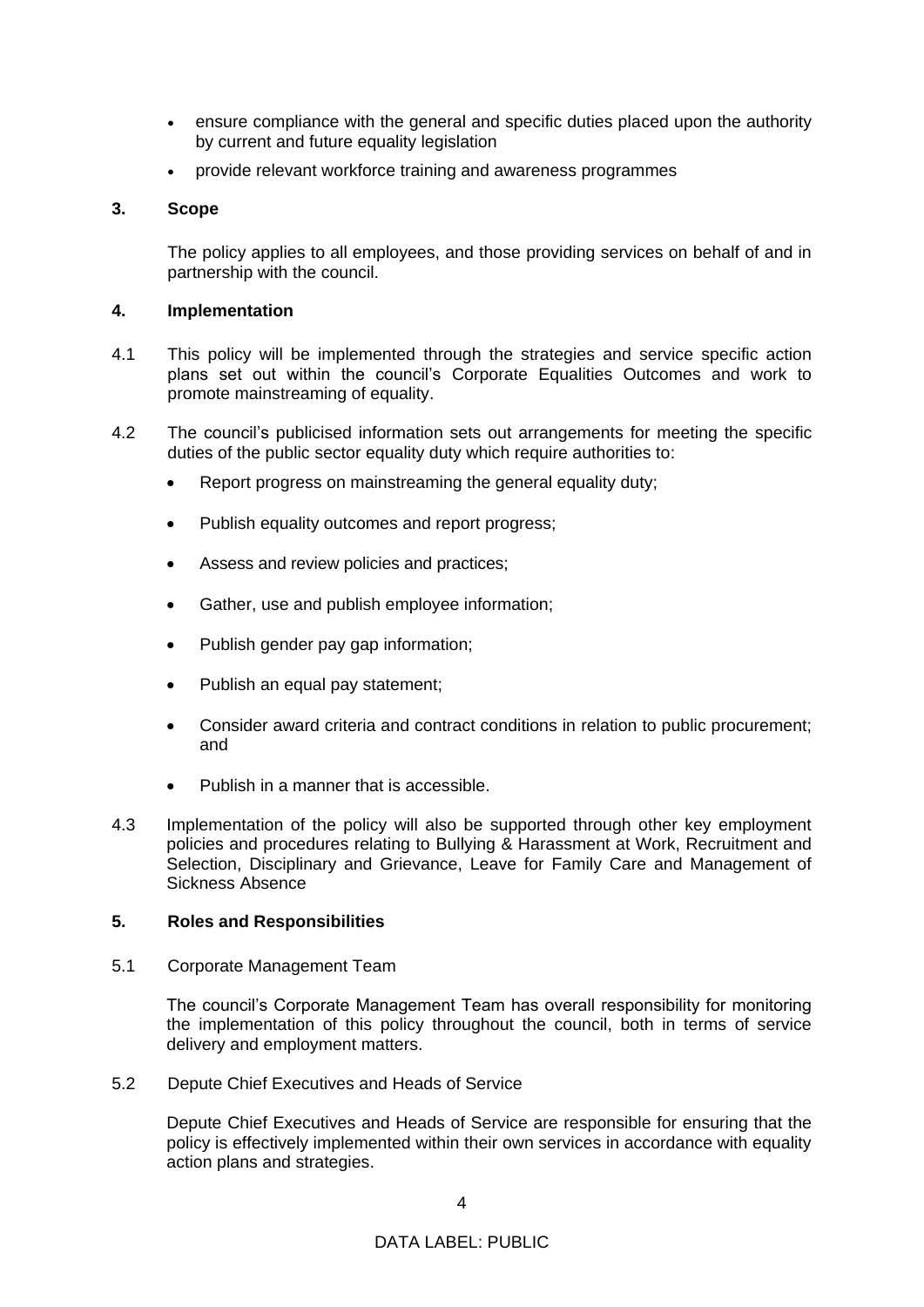- ensure compliance with the general and specific duties placed upon the authority by current and future equality legislation
- provide relevant workforce training and awareness programmes

# **3. Scope**

The policy applies to all employees, and those providing services on behalf of and in partnership with the council.

# **4. Implementation**

- 4.1 This policy will be implemented through the strategies and service specific action plans set out within the council's Corporate Equalities Outcomes and work to promote mainstreaming of equality.
- 4.2 The council's publicised information sets out arrangements for meeting the specific duties of the public sector equality duty which require authorities to:
	- Report progress on mainstreaming the general equality duty;
	- Publish equality outcomes and report progress;
	- Assess and review policies and practices:
	- Gather, use and publish employee information;
	- Publish gender pay gap information;
	- Publish an equal pay statement;
	- Consider award criteria and contract conditions in relation to public procurement; and
	- Publish in a manner that is accessible.
- 4.3 Implementation of the policy will also be supported through other key employment policies and procedures relating to Bullying & Harassment at Work, Recruitment and Selection, Disciplinary and Grievance, Leave for Family Care and Management of Sickness Absence

## **5. Roles and Responsibilities**

5.1 Corporate Management Team

The council's Corporate Management Team has overall responsibility for monitoring the implementation of this policy throughout the council, both in terms of service delivery and employment matters.

5.2 Depute Chief Executives and Heads of Service

Depute Chief Executives and Heads of Service are responsible for ensuring that the policy is effectively implemented within their own services in accordance with equality action plans and strategies.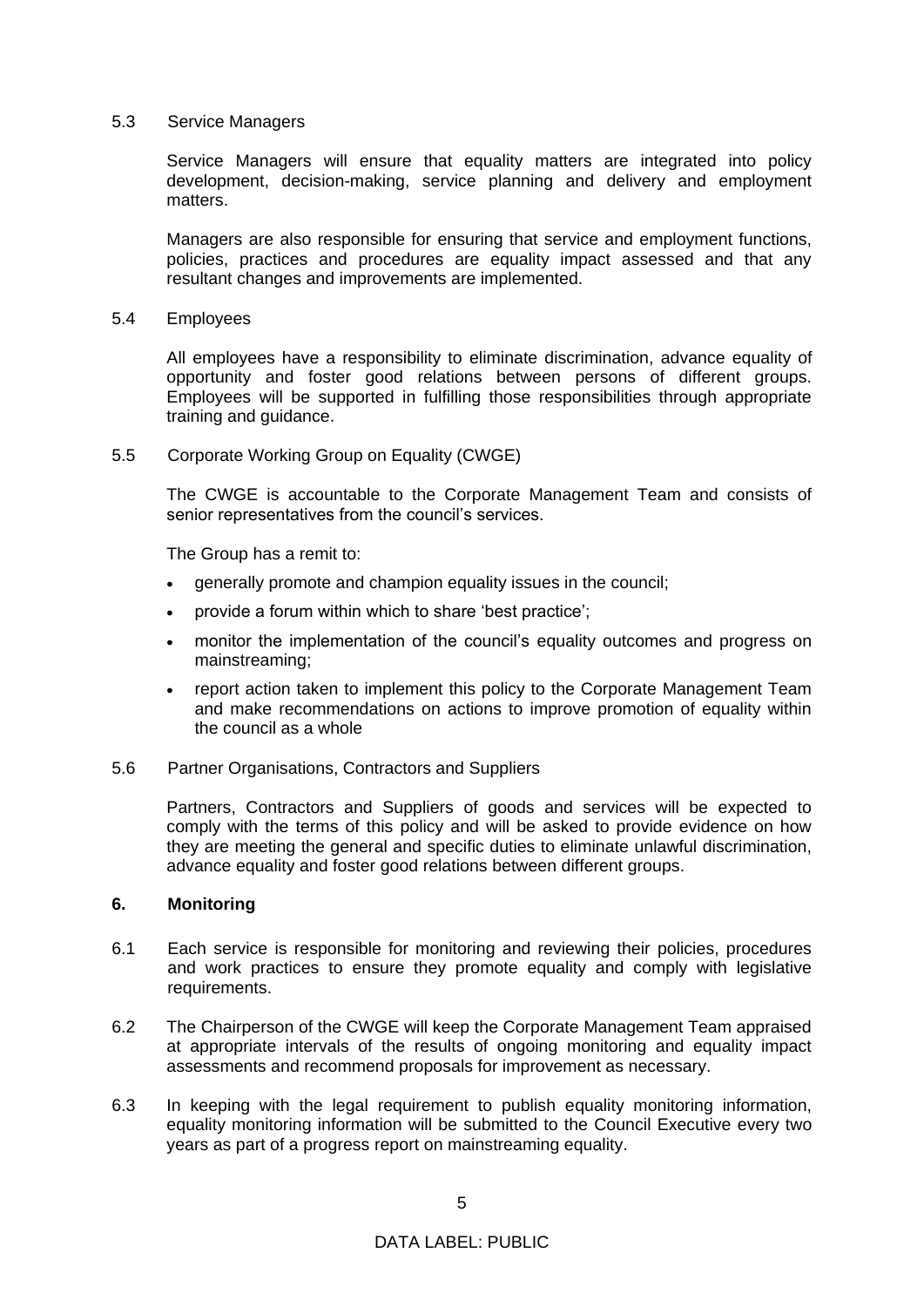#### 5.3 Service Managers

Service Managers will ensure that equality matters are integrated into policy development, decision-making, service planning and delivery and employment matters.

Managers are also responsible for ensuring that service and employment functions, policies, practices and procedures are equality impact assessed and that any resultant changes and improvements are implemented.

#### 5.4 Employees

All employees have a responsibility to eliminate discrimination, advance equality of opportunity and foster good relations between persons of different groups. Employees will be supported in fulfilling those responsibilities through appropriate training and guidance.

### 5.5 Corporate Working Group on Equality (CWGE)

The CWGE is accountable to the Corporate Management Team and consists of senior representatives from the council's services.

The Group has a remit to:

- generally promote and champion equality issues in the council;
- provide a forum within which to share 'best practice';
- monitor the implementation of the council's equality outcomes and progress on mainstreaming;
- report action taken to implement this policy to the Corporate Management Team and make recommendations on actions to improve promotion of equality within the council as a whole
- 5.6 Partner Organisations, Contractors and Suppliers

Partners, Contractors and Suppliers of goods and services will be expected to comply with the terms of this policy and will be asked to provide evidence on how they are meeting the general and specific duties to eliminate unlawful discrimination, advance equality and foster good relations between different groups.

# **6. Monitoring**

- 6.1 Each service is responsible for monitoring and reviewing their policies, procedures and work practices to ensure they promote equality and comply with legislative requirements.
- 6.2 The Chairperson of the CWGE will keep the Corporate Management Team appraised at appropriate intervals of the results of ongoing monitoring and equality impact assessments and recommend proposals for improvement as necessary.
- 6.3 In keeping with the legal requirement to publish equality monitoring information, equality monitoring information will be submitted to the Council Executive every two years as part of a progress report on mainstreaming equality.

# DATA LABEL: PUBLIC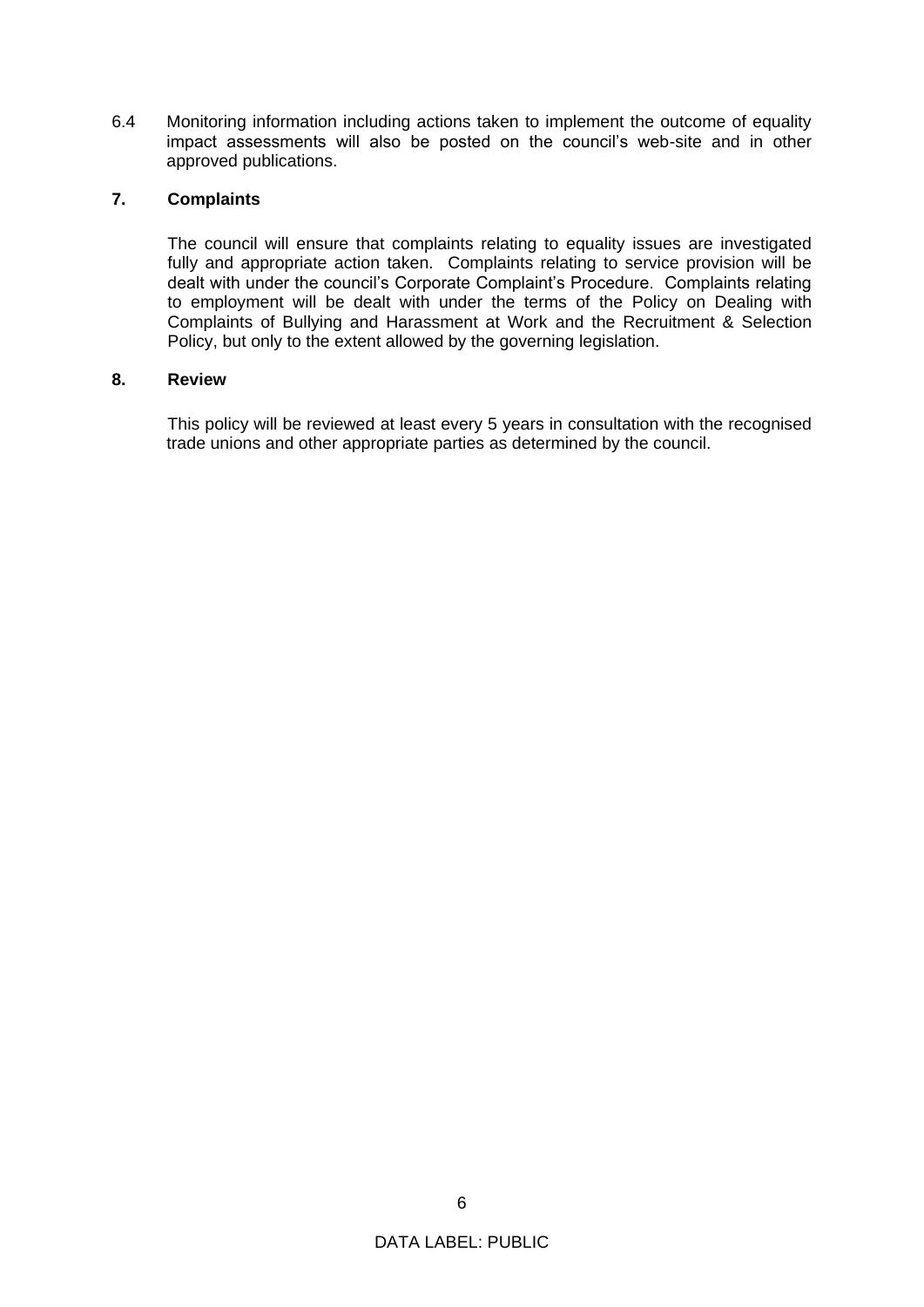6.4 Monitoring information including actions taken to implement the outcome of equality impact assessments will also be posted on the council's web-site and in other approved publications.

# **7. Complaints**

The council will ensure that complaints relating to equality issues are investigated fully and appropriate action taken. Complaints relating to service provision will be dealt with under the council's Corporate Complaint's Procedure. Complaints relating to employment will be dealt with under the terms of the Policy on Dealing with Complaints of Bullying and Harassment at Work and the Recruitment & Selection Policy, but only to the extent allowed by the governing legislation.

# **8. Review**

This policy will be reviewed at least every 5 years in consultation with the recognised trade unions and other appropriate parties as determined by the council.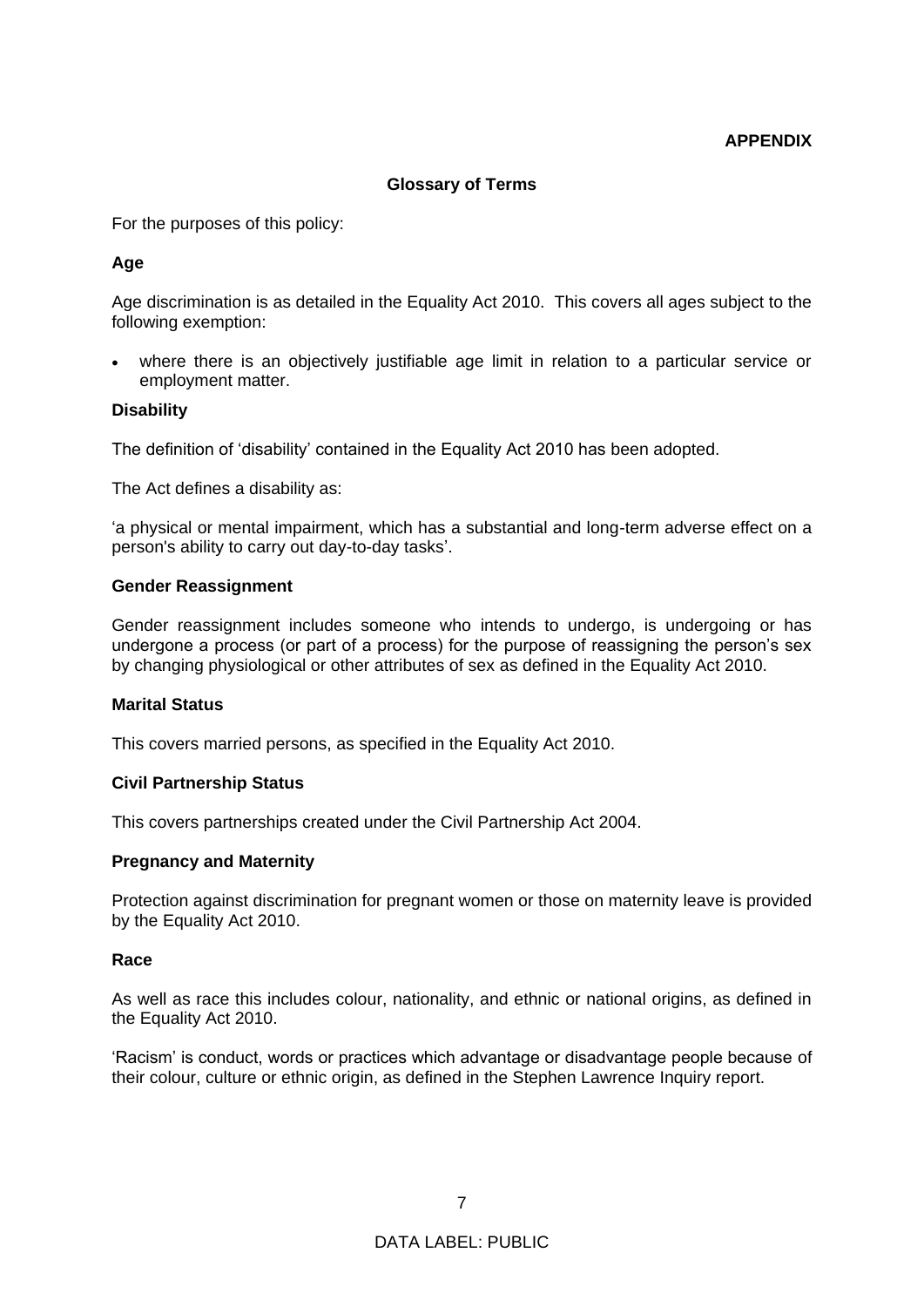# **APPENDIX**

# **Glossary of Terms**

For the purposes of this policy:

# **Age**

Age discrimination is as detailed in the Equality Act 2010. This covers all ages subject to the following exemption:

• where there is an objectively justifiable age limit in relation to a particular service or employment matter.

### **Disability**

The definition of 'disability' contained in the Equality Act 2010 has been adopted.

The Act defines a disability as:

'a physical or mental impairment, which has a substantial and long-term adverse effect on a person's ability to carry out day-to-day tasks'.

### **Gender Reassignment**

Gender reassignment includes someone who intends to undergo, is undergoing or has undergone a process (or part of a process) for the purpose of reassigning the person's sex by changing physiological or other attributes of sex as defined in the Equality Act 2010.

### **Marital Status**

This covers married persons, as specified in the Equality Act 2010.

### **Civil Partnership Status**

This covers partnerships created under the Civil Partnership Act 2004.

### **Pregnancy and Maternity**

Protection against discrimination for pregnant women or those on maternity leave is provided by the Equality Act 2010.

### **Race**

As well as race this includes colour, nationality, and ethnic or national origins, as defined in the Equality Act 2010.

'Racism' is conduct, words or practices which advantage or disadvantage people because of their colour, culture or ethnic origin, as defined in the Stephen Lawrence Inquiry report.